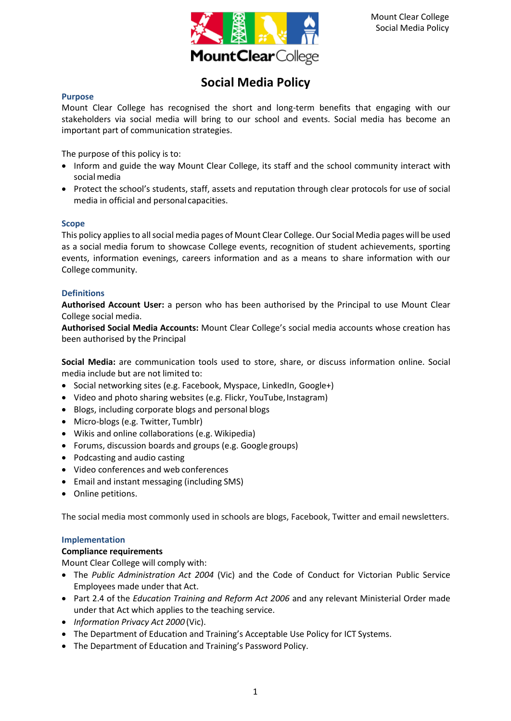

# **Social Media Policy**

#### **Purpose**

Mount Clear College has recognised the short and long-term benefits that engaging with our stakeholders via social media will bring to our school and events. Social media has become an important part of communication strategies.

The purpose of this policy is to:

- Inform and guide the way Mount Clear College, its staff and the school community interact with socialmedia
- Protect the school's students, staff, assets and reputation through clear protocols for use of social media in official and personal capacities.

#### **Scope**

This policy appliesto allsocial media pages of Mount Clear College. Our Social Media pages will be used as a social media forum to showcase College events, recognition of student achievements, sporting events, information evenings, careers information and as a means to share information with our College community.

#### **Definitions**

**Authorised Account User:** a person who has been authorised by the Principal to use Mount Clear College social media.

**Authorised Social Media Accounts:** Mount Clear College's social media accounts whose creation has been authorised by the Principal

**Social Media:** are communication tools used to store, share, or discuss information online. Social media include but are not limited to:

- Social networking sites (e.g. Facebook, Myspace, LinkedIn, Google+)
- Video and photo sharing websites (e.g. Flickr, YouTube, Instagram)
- Blogs, including corporate blogs and personal blogs
- Micro-blogs (e.g. Twitter, Tumblr)
- Wikis and online collaborations (e.g. Wikipedia)
- Forums, discussion boards and groups (e.g. Google groups)
- Podcasting and audio casting
- Video conferences and web conferences
- Email and instant messaging (including SMS)
- Online petitions.

The social media most commonly used in schools are blogs, Facebook, Twitter and email newsletters.

#### **Implementation**

#### **Compliance requirements**

Mount Clear College will comply with:

- The *Public Administration Act 2004* (Vic) and the Code of Conduct for Victorian Public Service Employees made under that Act.
- Part 2.4 of the *Education Training and Reform Act 2006* and any relevant Ministerial Order made under that Act which applies to the teaching service.
- *Information Privacy Act 2000* (Vic).
- The Department of Education and Training's Acceptable Use Policy for ICT Systems.
- The Department of Education and Training's Password Policy.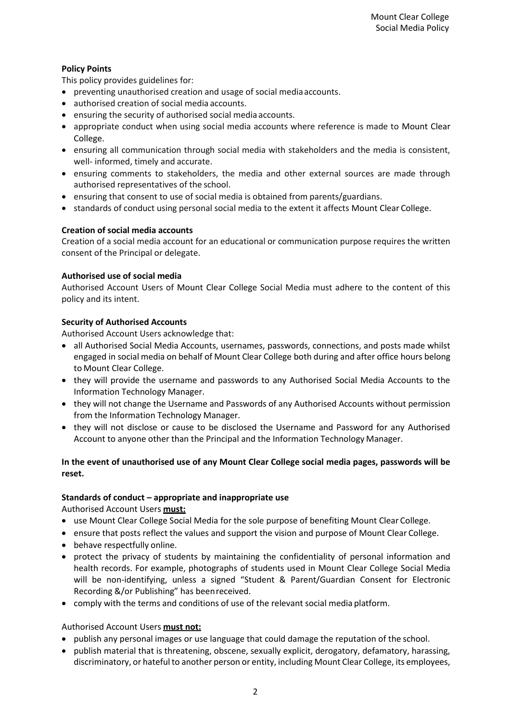## **Policy Points**

This policy provides guidelines for:

- preventing unauthorised creation and usage of social mediaaccounts.
- authorised creation of social media accounts.
- ensuring the security of authorised social media accounts.
- appropriate conduct when using social media accounts where reference is made to Mount Clear College.
- ensuring all communication through social media with stakeholders and the media is consistent, well- informed, timely and accurate.
- ensuring comments to stakeholders, the media and other external sources are made through authorised representatives of the school.
- ensuring that consent to use of social media is obtained from parents/guardians.
- standards of conduct using personal social media to the extent it affects Mount Clear College.

## **Creation of social media accounts**

Creation of a social media account for an educational or communication purpose requires the written consent of the Principal or delegate.

## **Authorised use of social media**

Authorised Account Users of Mount Clear College Social Media must adhere to the content of this policy and its intent.

## **Security of Authorised Accounts**

Authorised Account Users acknowledge that:

- all Authorised Social Media Accounts, usernames, passwords, connections, and posts made whilst engaged in social media on behalf of Mount Clear College both during and after office hours belong to Mount Clear College.
- they will provide the username and passwords to any Authorised Social Media Accounts to the Information Technology Manager.
- they will not change the Username and Passwords of any Authorised Accounts without permission from the Information Technology Manager.
- they will not disclose or cause to be disclosed the Username and Password for any Authorised Account to anyone other than the Principal and the Information Technology Manager.

## **In the event of unauthorised use of any Mount Clear College social media pages, passwords will be reset.**

#### **Standards of conduct – appropriate and inappropriate use**

Authorised Account Users **must:**

- use Mount Clear College Social Media for the sole purpose of benefiting Mount Clear College.
- ensure that posts reflect the values and support the vision and purpose of Mount Clear College.
- behave respectfully online.
- protect the privacy of students by maintaining the confidentiality of personal information and health records. For example, photographs of students used in Mount Clear College Social Media will be non-identifying, unless a signed "Student & Parent/Guardian Consent for Electronic Recording &/or Publishing" has beenreceived.
- comply with the terms and conditions of use of the relevant social media platform.

#### Authorised Account Users **must not:**

- publish any personal images or use language that could damage the reputation of the school.
- publish material that is threatening, obscene, sexually explicit, derogatory, defamatory, harassing, discriminatory, or hateful to another person or entity, including Mount Clear College, its employees,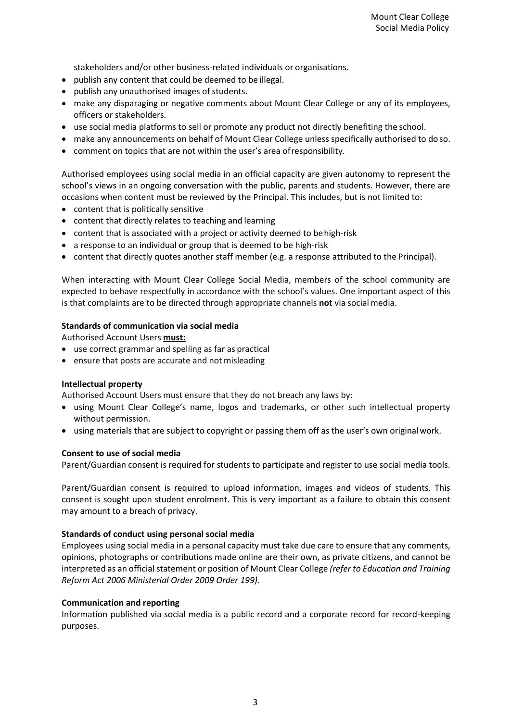stakeholders and/or other business-related individuals or organisations.

- publish any content that could be deemed to be illegal.
- publish any unauthorised images of students.
- make any disparaging or negative comments about Mount Clear College or any of its employees, officers or stakeholders.
- use social media platforms to sell or promote any product not directly benefiting the school.
- make any announcements on behalf of Mount Clear College unless specifically authorised to doso.
- comment on topics that are not within the user's area ofresponsibility.

Authorised employees using social media in an official capacity are given autonomy to represent the school's views in an ongoing conversation with the public, parents and students. However, there are occasions when content must be reviewed by the Principal. This includes, but is not limited to:

- content that is politically sensitive
- content that directly relates to teaching and learning
- content that is associated with a project or activity deemed to behigh-risk
- a response to an individual or group that is deemed to be high-risk
- content that directly quotes another staff member (e.g. a response attributed to the Principal).

When interacting with Mount Clear College Social Media, members of the school community are expected to behave respectfully in accordance with the school's values. One important aspect of this is that complaints are to be directed through appropriate channels **not** via social media.

#### **Standards of communication via social media**

Authorised Account Users **must:**

- use correct grammar and spelling as far as practical
- ensure that posts are accurate and not misleading

#### **Intellectual property**

Authorised Account Users must ensure that they do not breach any laws by:

- using Mount Clear College's name, logos and trademarks, or other such intellectual property without permission.
- using materials that are subject to copyright or passing them off as the user's own originalwork.

#### **Consent to use of social media**

Parent/Guardian consent is required for students to participate and register to use social media tools.

Parent/Guardian consent is required to upload information, images and videos of students. This consent is sought upon student enrolment. This is very important as a failure to obtain this consent may amount to a breach of privacy.

#### **Standards of conduct using personal social media**

Employees using social media in a personal capacity must take due care to ensure that any comments, opinions, photographs or contributions made online are their own, as private citizens, and cannot be interpreted as an official statement or position of Mount Clear College *(refer to Education and Training Reform Act 2006 Ministerial Order 2009 Order 199).*

#### **Communication and reporting**

Information published via social media is a public record and a corporate record for record-keeping purposes.